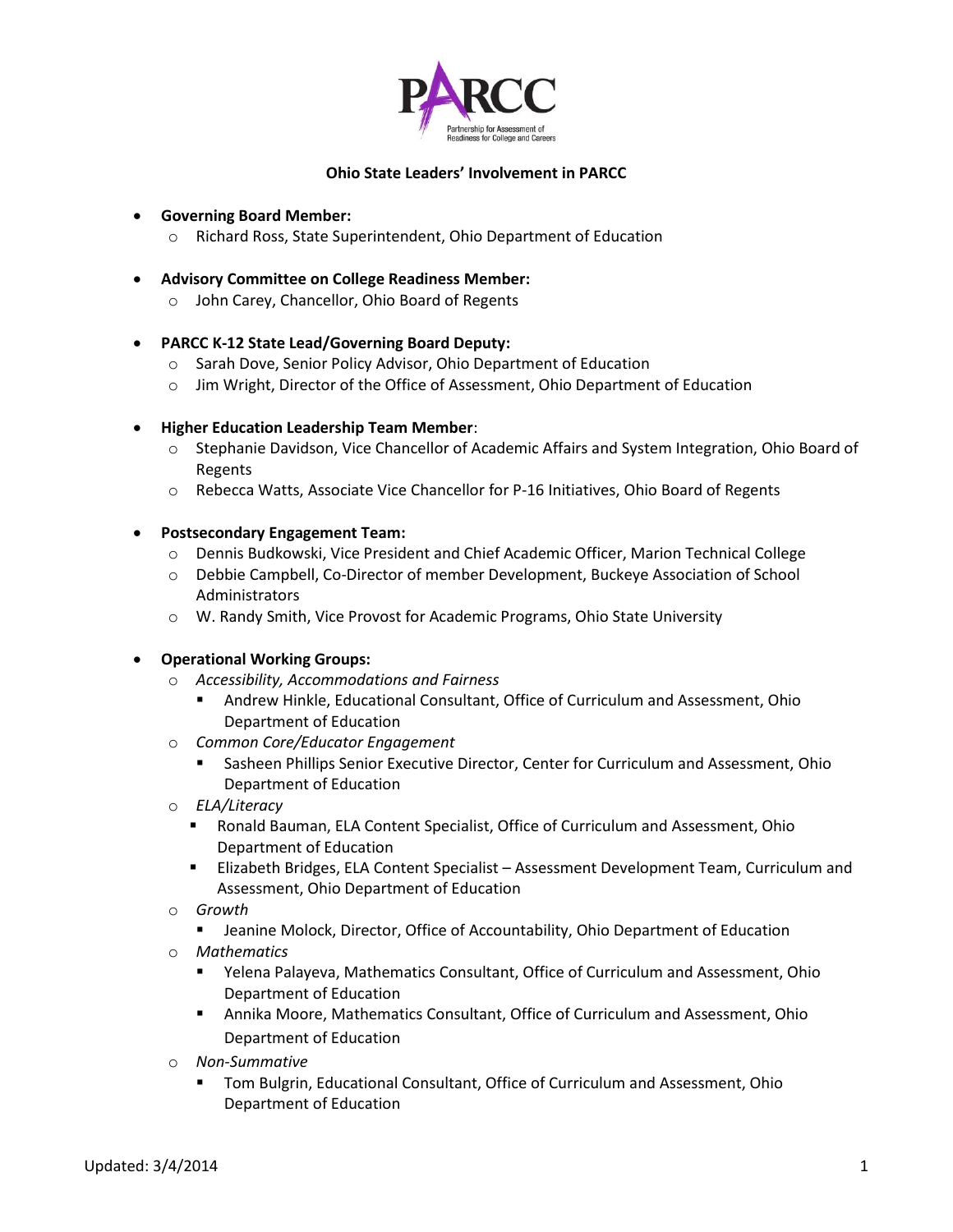

### **Ohio State Leaders' Involvement in PARCC**

#### **Governing Board Member:**

- o Richard Ross, State Superintendent, Ohio Department of Education
- **Advisory Committee on College Readiness Member:**
	- o John Carey, Chancellor, Ohio Board of Regents

### **PARCC K-12 State Lead/Governing Board Deputy:**

- o Sarah Dove, Senior Policy Advisor, Ohio Department of Education
- o Jim Wright, Director of the Office of Assessment, Ohio Department of Education

### **Higher Education Leadership Team Member**:

- o Stephanie Davidson, Vice Chancellor of Academic Affairs and System Integration, Ohio Board of Regents
- o Rebecca Watts, Associate Vice Chancellor for P-16 Initiatives, Ohio Board of Regents

### **Postsecondary Engagement Team:**

- o Dennis Budkowski, Vice President and Chief Academic Officer, Marion Technical College
- o Debbie Campbell, Co-Director of member Development, Buckeye Association of School Administrators
- o W. Randy Smith, Vice Provost for Academic Programs, Ohio State University

### **Operational Working Groups:**

- o *Accessibility, Accommodations and Fairness*
	- Andrew Hinkle, Educational Consultant, Office of Curriculum and Assessment, Ohio Department of Education
- o *Common Core/Educator Engagement*
	- Sasheen Phillips Senior Executive Director, Center for Curriculum and Assessment, Ohio Department of Education
- o *ELA/Literacy*
	- Ronald Bauman, ELA Content Specialist, Office of Curriculum and Assessment, Ohio Department of Education
	- Elizabeth Bridges, ELA Content Specialist Assessment Development Team, Curriculum and Assessment, Ohio Department of Education
- o *Growth*
	- **EXEDENTIFY ISLEX INCOCO EXECTS ACCOUNTED MODE ISLEM** Jeanine Molockion **I**
- o *Mathematics*
	- Yelena Palayeva, Mathematics Consultant, Office of Curriculum and Assessment, Ohio Department of Education
	- Annika Moore, Mathematics Consultant, Office of Curriculum and Assessment, Ohio Department of Education
- o *Non-Summative*
	- Tom Bulgrin, Educational Consultant, Office of Curriculum and Assessment, Ohio Department of Education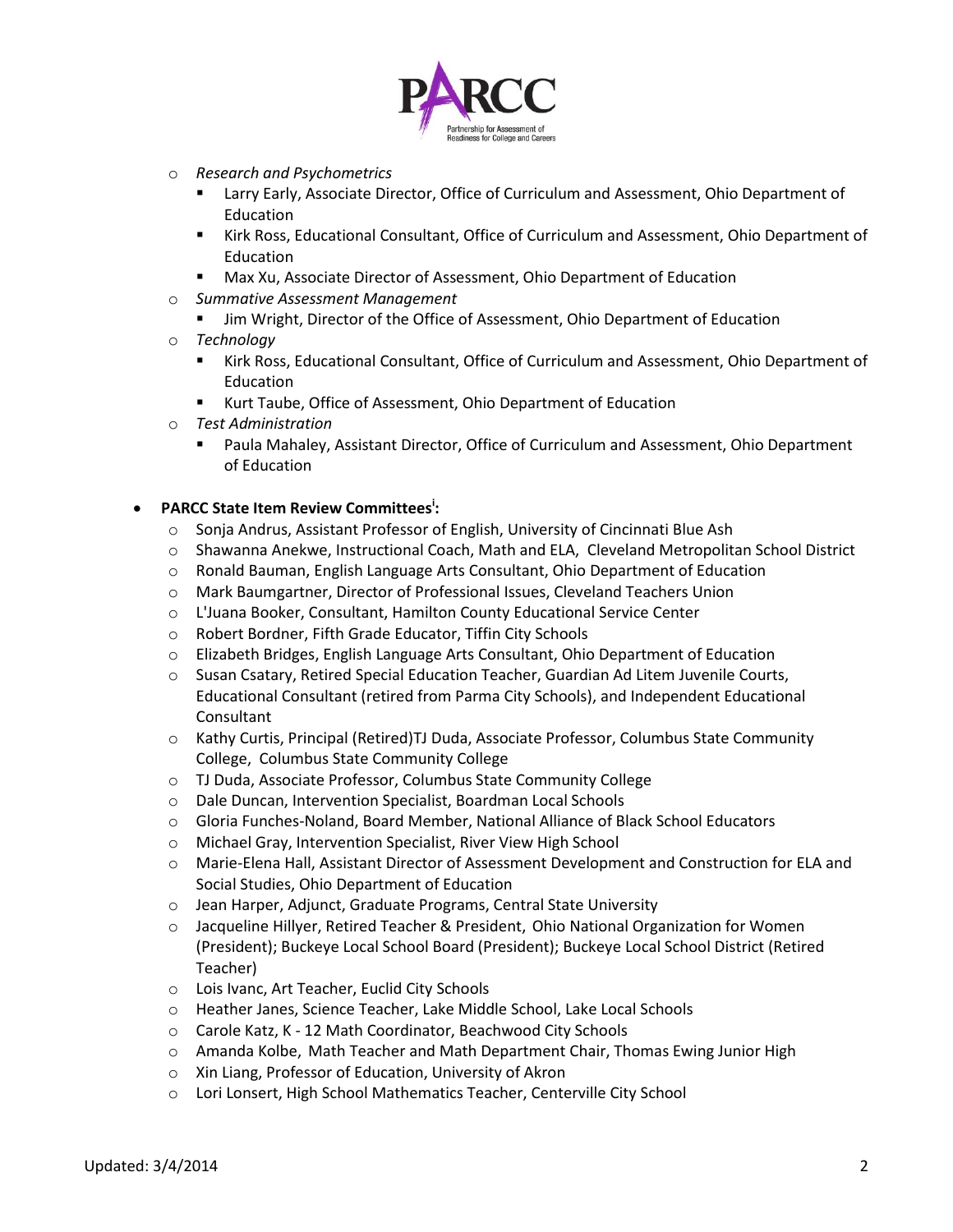

- o *Research and Psychometrics*
	- **EXTER 15 Incryment Process** Larry Early, Associate Director, Ohio Department of Education
	- **Kirk Ross, Educational Consultant, Office of Curriculum and Assessment, Ohio Department of** Education
	- Max Xu, Associate Director of Assessment, Ohio Department of Education
- o *Summative Assessment Management*
	- Jim Wright, Director of the Office of Assessment, Ohio Department of Education
- o *Technology*
	- Kirk Ross, Educational Consultant, Office of Curriculum and Assessment, Ohio Department of Education
	- Kurt Taube, Office of Assessment, Ohio Department of Education
- o *Test Administration*
	- Paula Mahaley, Assistant Director, Office of Curriculum and Assessment, Ohio Department of Education

# **PARCC State Item Review Committees<sup>i</sup> :**

- o Sonja Andrus, Assistant Professor of English, University of Cincinnati Blue Ash
- o Shawanna Anekwe, Instructional Coach, Math and ELA, Cleveland Metropolitan School District
- o Ronald Bauman, English Language Arts Consultant, Ohio Department of Education
- o Mark Baumgartner, Director of Professional Issues, Cleveland Teachers Union
- o L'Juana Booker, Consultant, Hamilton County Educational Service Center
- o Robert Bordner, Fifth Grade Educator, Tiffin City Schools
- o Elizabeth Bridges, English Language Arts Consultant, Ohio Department of Education
- o Susan Csatary, Retired Special Education Teacher, Guardian Ad Litem Juvenile Courts, Educational Consultant (retired from Parma City Schools), and Independent Educational Consultant
- o Kathy Curtis, Principal (Retired)TJ Duda, Associate Professor, Columbus State Community College, Columbus State Community College
- o TJ Duda, Associate Professor, Columbus State Community College
- o Dale Duncan, Intervention Specialist, Boardman Local Schools
- o Gloria Funches-Noland, Board Member, National Alliance of Black School Educators
- o Michael Gray, Intervention Specialist, River View High School
- o Marie-Elena Hall, Assistant Director of Assessment Development and Construction for ELA and Social Studies, Ohio Department of Education
- o Jean Harper, Adjunct, Graduate Programs, Central State University
- o Jacqueline Hillyer, Retired Teacher & President, Ohio National Organization for Women (President); Buckeye Local School Board (President); Buckeye Local School District (Retired Teacher)
- o Lois Ivanc, Art Teacher, Euclid City Schools
- o Heather Janes, Science Teacher, Lake Middle School, Lake Local Schools
- o Carole Katz, K 12 Math Coordinator, Beachwood City Schools
- o Amanda Kolbe, Math Teacher and Math Department Chair, Thomas Ewing Junior High
- o Xin Liang, Professor of Education, University of Akron
- o Lori Lonsert, High School Mathematics Teacher, Centerville City School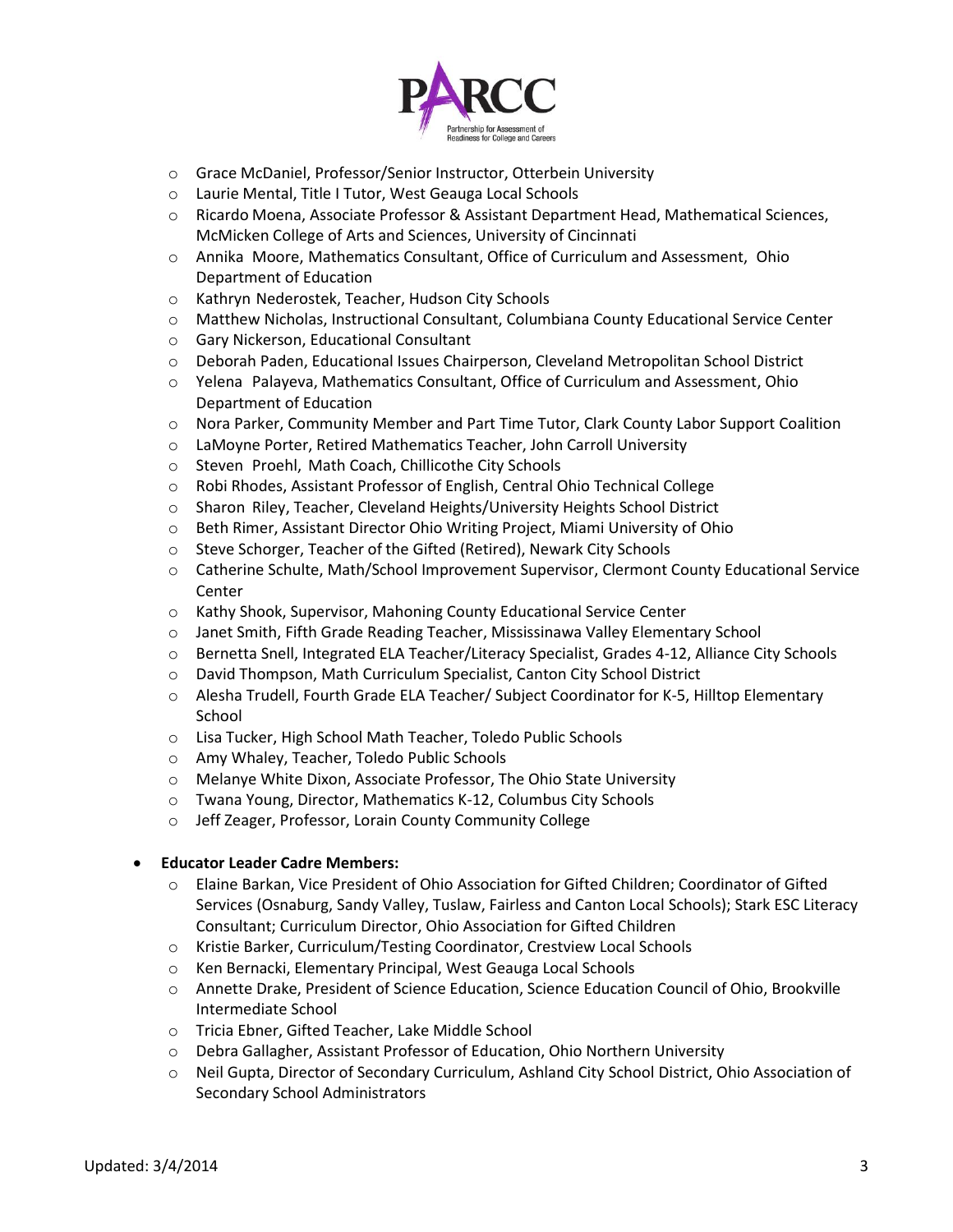

- o Grace McDaniel, Professor/Senior Instructor, Otterbein University
- o Laurie Mental, Title I Tutor, West Geauga Local Schools
- o Ricardo Moena, Associate Professor & Assistant Department Head, Mathematical Sciences, McMicken College of Arts and Sciences, University of Cincinnati
- o Annika Moore, Mathematics Consultant, Office of Curriculum and Assessment, Ohio Department of Education
- o Kathryn Nederostek, Teacher, Hudson City Schools
- o Matthew Nicholas, Instructional Consultant, Columbiana County Educational Service Center
- o Gary Nickerson, Educational Consultant
- o Deborah Paden, Educational Issues Chairperson, Cleveland Metropolitan School District
- o Yelena Palayeva, Mathematics Consultant, Office of Curriculum and Assessment, Ohio Department of Education
- o Nora Parker, Community Member and Part Time Tutor, Clark County Labor Support Coalition
- o LaMoyne Porter, Retired Mathematics Teacher, John Carroll University
- o Steven Proehl, Math Coach, Chillicothe City Schools
- o Robi Rhodes, Assistant Professor of English, Central Ohio Technical College
- o Sharon Riley, Teacher, Cleveland Heights/University Heights School District
- o Beth Rimer, Assistant Director Ohio Writing Project, Miami University of Ohio
- o Steve Schorger, Teacher of the Gifted (Retired), Newark City Schools
- o Catherine Schulte, Math/School Improvement Supervisor, Clermont County Educational Service Center
- o Kathy Shook, Supervisor, Mahoning County Educational Service Center
- o Janet Smith, Fifth Grade Reading Teacher, Mississinawa Valley Elementary School
- o Bernetta Snell, Integrated ELA Teacher/Literacy Specialist, Grades 4-12, Alliance City Schools
- o David Thompson, Math Curriculum Specialist, Canton City School District
- o Alesha Trudell, Fourth Grade ELA Teacher/ Subject Coordinator for K-5, Hilltop Elementary School
- o Lisa Tucker, High School Math Teacher, Toledo Public Schools
- o Amy Whaley, Teacher, Toledo Public Schools
- o Melanye White Dixon, Associate Professor, The Ohio State University
- o Twana Young, Director, Mathematics K-12, Columbus City Schools
- o Jeff Zeager, Professor, Lorain County Community College

## **Educator Leader Cadre Members:**

- o Elaine Barkan, Vice President of Ohio Association for Gifted Children; Coordinator of Gifted Services (Osnaburg, Sandy Valley, Tuslaw, Fairless and Canton Local Schools); Stark ESC Literacy Consultant; Curriculum Director, Ohio Association for Gifted Children
- o Kristie Barker, Curriculum/Testing Coordinator, Crestview Local Schools
- o Ken Bernacki, Elementary Principal, West Geauga Local Schools
- o Annette Drake, President of Science Education, Science Education Council of Ohio, Brookville Intermediate School
- o Tricia Ebner, Gifted Teacher, Lake Middle School
- o Debra Gallagher, Assistant Professor of Education, Ohio Northern University
- o Neil Gupta, Director of Secondary Curriculum, Ashland City School District, Ohio Association of Secondary School Administrators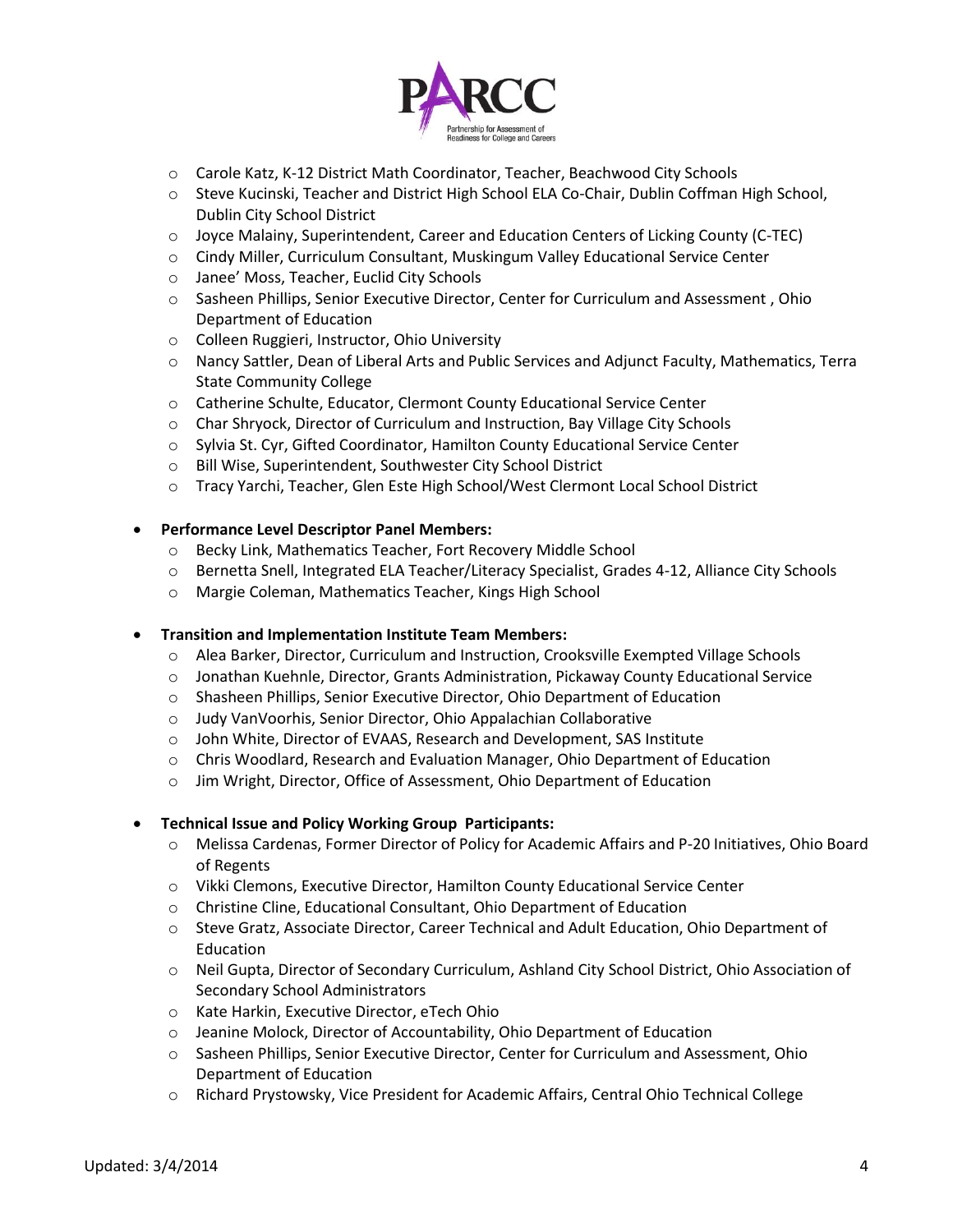

- o Carole Katz, K-12 District Math Coordinator, Teacher, Beachwood City Schools
- o Steve Kucinski, Teacher and District High School ELA Co-Chair, Dublin Coffman High School, Dublin City School District
- o Joyce Malainy, Superintendent, Career and Education Centers of Licking County (C-TEC)
- o Cindy Miller, Curriculum Consultant, Muskingum Valley Educational Service Center
- o Janee' Moss, Teacher, Euclid City Schools
- o Sasheen Phillips, Senior Executive Director, Center for Curriculum and Assessment , Ohio Department of Education
- o Colleen Ruggieri, Instructor, Ohio University
- o Nancy Sattler, Dean of Liberal Arts and Public Services and Adjunct Faculty, Mathematics, Terra State Community College
- o Catherine Schulte, Educator, Clermont County Educational Service Center
- o Char Shryock, Director of Curriculum and Instruction, Bay Village City Schools
- o Sylvia St. Cyr, Gifted Coordinator, Hamilton County Educational Service Center
- o Bill Wise, Superintendent, Southwester City School District
- o Tracy Yarchi, Teacher, Glen Este High School/West Clermont Local School District

### **Performance Level Descriptor Panel Members:**

- o Becky Link, Mathematics Teacher, Fort Recovery Middle School
- o Bernetta Snell, Integrated ELA Teacher/Literacy Specialist, Grades 4-12, Alliance City Schools
- o Margie Coleman, Mathematics Teacher, Kings High School

### **Transition and Implementation Institute Team Members:**

- o Alea Barker, Director, Curriculum and Instruction, Crooksville Exempted Village Schools
- o Jonathan Kuehnle, Director, Grants Administration, Pickaway County Educational Service
- o Shasheen Phillips, Senior Executive Director, Ohio Department of Education
- o Judy VanVoorhis, Senior Director, Ohio Appalachian Collaborative
- o John White, Director of EVAAS, Research and Development, SAS Institute
- o Chris Woodlard, Research and Evaluation Manager, Ohio Department of Education
- o Jim Wright, Director, Office of Assessment, Ohio Department of Education

### **Technical Issue and Policy Working Group Participants:**

- o Melissa Cardenas, Former Director of Policy for Academic Affairs and P-20 Initiatives, Ohio Board of Regents
- o Vikki Clemons, Executive Director, Hamilton County Educational Service Center
- o Christine Cline, Educational Consultant, Ohio Department of Education
- o Steve Gratz, Associate Director, Career Technical and Adult Education, Ohio Department of Education
- o Neil Gupta, Director of Secondary Curriculum, Ashland City School District, Ohio Association of Secondary School Administrators
- o Kate Harkin, Executive Director, eTech Ohio
- o Jeanine Molock, Director of Accountability, Ohio Department of Education
- o Sasheen Phillips, Senior Executive Director, Center for Curriculum and Assessment, Ohio Department of Education
- o Richard Prystowsky, Vice President for Academic Affairs, Central Ohio Technical College